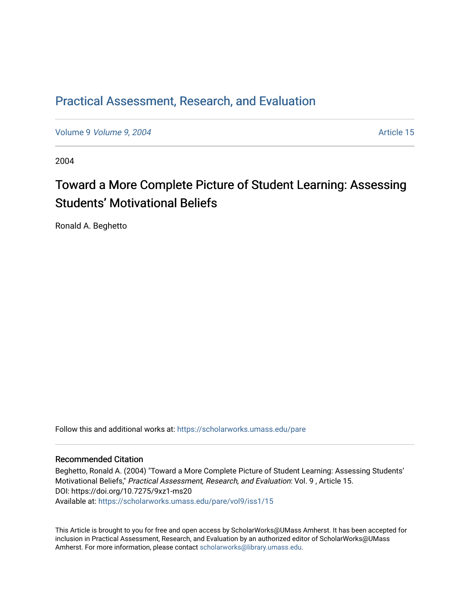### [Practical Assessment, Research, and Evaluation](https://scholarworks.umass.edu/pare)

Volume 9 *Volume 9, 2004* Article 15

2004

## Toward a More Complete Picture of Student Learning: Assessing Students' Motivational Beliefs

Ronald A. Beghetto

Follow this and additional works at: [https://scholarworks.umass.edu/pare](https://scholarworks.umass.edu/pare?utm_source=scholarworks.umass.edu%2Fpare%2Fvol9%2Fiss1%2F15&utm_medium=PDF&utm_campaign=PDFCoverPages) 

#### Recommended Citation

Beghetto, Ronald A. (2004) "Toward a More Complete Picture of Student Learning: Assessing Students' Motivational Beliefs," Practical Assessment, Research, and Evaluation: Vol. 9 , Article 15. DOI: https://doi.org/10.7275/9xz1-ms20 Available at: [https://scholarworks.umass.edu/pare/vol9/iss1/15](https://scholarworks.umass.edu/pare/vol9/iss1/15?utm_source=scholarworks.umass.edu%2Fpare%2Fvol9%2Fiss1%2F15&utm_medium=PDF&utm_campaign=PDFCoverPages)

This Article is brought to you for free and open access by ScholarWorks@UMass Amherst. It has been accepted for inclusion in Practical Assessment, Research, and Evaluation by an authorized editor of ScholarWorks@UMass Amherst. For more information, please contact [scholarworks@library.umass.edu](mailto:scholarworks@library.umass.edu).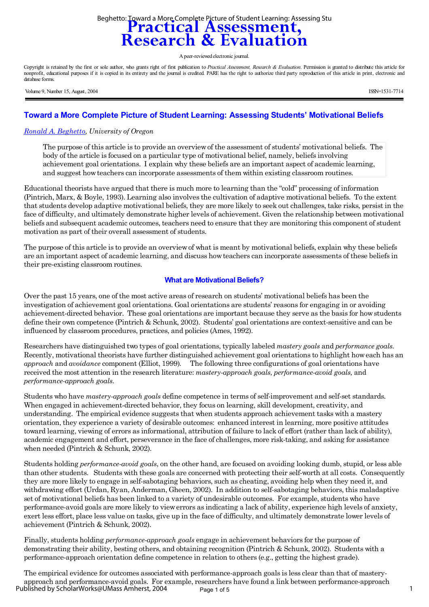# Beghetto: Toward a More Complete Picture of Student Learning: Assessing Stu<br> **Practical Assessment,<br>
Research & Evaluation**

A peer-reviewed electronic journal.

Copyright is retained by the first or sole author, who grants right of first publication to *Practical Assessment, Research & Evaluation*. Permission is granted to distribute this article for nonprofit, educational purposes if it is copied in its entirety and the journal is credited. PARE has the right to authorize third party reproduction of this article in print, electronic and database forms.

Volume 9, Number 15, August, 2004 ISSN=1531-7714

#### **Toward a More Complete Picture of Student Learning: Assessing Students' Motivational Beliefs**

#### *[Ronald A. Beghetto](mailto:Beghetto@darkwing.uoregon.edu), University of Oregon*

The purpose of this article is to provide an overview of the assessment of students' motivational beliefs. The body of the article is focused on a particular type of motivational belief, namely, beliefs involving achievement goal orientations. I explain why these beliefs are an important aspect of academic learning, and suggest how teachers can incorporate assessments of them within existing classroom routines.

Educational theorists have argued that there is much more to learning than the "cold" processing of information (Pintrich, Marx, & Boyle, 1993). Learning also involves the cultivation of adaptive motivational beliefs. To the extent that students develop adaptive motivational beliefs, they are more likely to seek out challenges, take risks, persist in the face of difficulty, and ultimately demonstrate higher levels of achievement. Given the relationship between motivational beliefs and subsequent academic outcomes, teachers need to ensure that they are monitoring this component of student motivation as part of their overall assessment of students.

The purpose of this article is to provide an overview of what is meant by motivational beliefs, explain why these beliefs are an important aspect of academic learning, and discuss how teachers can incorporate assessments of these beliefs in their pre-existing classroom routines.

#### **What are Motivational Beliefs?**

Over the past 15 years, one of the most active areas of research on students' motivational beliefs has been the investigation of achievement goal orientations. Goal orientations are students' reasons for engaging in or avoiding achievement-directed behavior. These goal orientations are important because they serve as the basis for how students define their own competence (Pintrich & Schunk, 2002). Students' goal orientations are context-sensitive and can be influenced by classroom procedures, practices, and policies (Ames, 1992).

Researchers have distinguished two types of goal orientations, typically labeled *mastery goals* and *performance goals.* Recently, motivational theorists have further distinguished achievement goal orientations to highlight how each has an *approach* and *avoidance* component (Elliot, 1999)*.* The following three configurations of goal orientations have received the most attention in the research literature: *mastery-approach goals, performance-avoid goals,* and *performance-approach goals.*

Students who have *mastery-approach goals* define competence in terms of self-improvement and self-set standards. When engaged in achievement-directed behavior, they focus on learning, skill development, creativity, and understanding. The empirical evidence suggests that when students approach achievement tasks with a mastery orientation, they experience a variety of desirable outcomes: enhanced interest in learning, more positive attitudes toward learning, viewing of errors as informational, attribution of failure to lack of effort (rather than lack of ability), academic engagement and effort, perseverance in the face of challenges, more risk-taking, and asking for assistance when needed (Pintrich & Schunk, 2002).

Students holding *performance-avoid goals*, on the other hand, are focused on avoiding looking dumb, stupid, or less able than other students. Students with these goals are concerned with protecting their self-worth at all costs. Consequently they are more likely to engage in self-sabotaging behaviors, such as cheating, avoiding help when they need it, and withdrawing effort (Urdan, Ryan, Anderman, Gheen, 2002). In addition to self-sabotaging behaviors, this maladaptive set of motivational beliefs has been linked to a variety of undesirable outcomes. For example, students who have performance-avoid goals are more likely to view errors as indicating a lack of ability, experience high levels of anxiety, exert less effort, place less value on tasks, give up in the face of difficulty, and ultimately demonstrate lower levels of achievement (Pintrich & Schunk, 2002).

Finally, students holding *performance-approach goals* engage in achievement behaviors for the purpose of demonstrating their ability, besting others, and obtaining recognition (Pintrich & Schunk, 2002). Students with a performance-approach orientation define competence in relation to others (e.g., getting the highest grade).

The empirical evidence for outcomes associated with performance-approach goals is less clear than that of masteryapproach and performance-avoid goals. For example, researchers have found a link between performance-approach Page 1 of 5 1 Published by ScholarWorks@UMass Amherst, 2004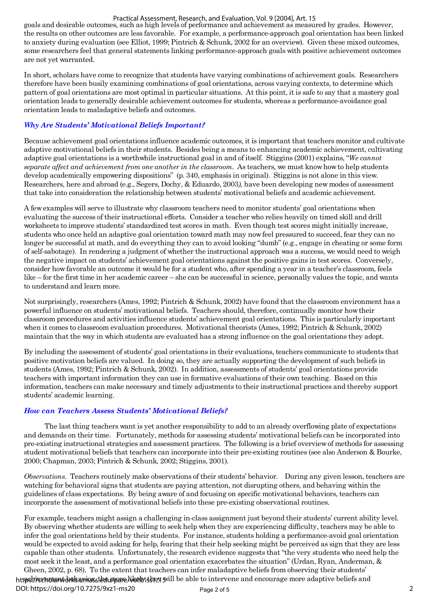#### Practical Assessment, Research, and Evaluation, Vol. 9 [2004], Art. 15

goals and desirable outcomes, such as high levels of performance and achievement as measured by grades. However, the results on other outcomes are less favorable. For example, a performance-approach goal orientation has been linked to anxiety during evaluation (see Elliot, 1999; Pintrich & Schunk, 2002 for an overview). Given these mixed outcomes, some researchers feel that general statements linking performance-approach goals with positive achievement outcomes are not yet warranted.

In short, scholars have come to recognize that students have varying combinations of achievement goals. Researchers therefore have been busily examining combinations of goal orientations, across varying contexts, to determine which pattern of goal orientations are most optimal in particular situations. At this point, it is safe to say that a mastery goal orientation leads to generally desirable achievement outcomes for students, whereas a performance-avoidance goal orientation leads to maladaptive beliefs and outcomes.

#### *Why Are Students' Motivational Beliefs Important?*

Because achievement goal orientations influence academic outcomes, it is important that teachers monitor and cultivate adaptive motivational beliefs in their students. Besides being a means to enhancing academic achievement, cultivating adaptive goal orientations is a worthwhile instructional goal in and of itself. Stiggins (2001) explains, "*We cannot separate affect and achievement from one another in the classroom*. As teachers, we must know how to help students develop academically empowering dispositions" (p. 340, emphasis in original). Stiggins is not alone in this view. Researchers, here and abroad (e.g., Segers, Dochy, & Eduardo, 2003*),* have been developing new modes of assessment that take into consideration the relationship between students' motivational beliefs and academic achievement*.*

A few examples will serve to illustrate why classroom teachers need to monitor students' goal orientations when evaluating the success of their instructional efforts. Consider a teacher who relies heavily on timed skill and drill worksheets to improve students' standardized test scores in math. Even though test scores might initially increase, students who once held an adaptive goal orientation toward math may now feel pressured to succeed, fear they can no longer be successful at math, and do everything they can to avoid looking "dumb" (e.g., engage in cheating or some form of self-sabotage). In rendering a judgment of whether the instructional approach was a success, we would need to weigh the negative impact on students' achievement goal orientations against the positive gains in test scores. Conversely, consider how favorable an outcome it would be for a student who, after spending a year in a teacher's classroom, feels like – for the first time in her academic career – she can be successful in science, personally values the topic, and wants to understand and learn more.

Not surprisingly, researchers (Ames, 1992; Pintrich & Schunk, 2002) have found that the classroom environment has a powerful influence on students' motivational beliefs. Teachers should, therefore, continually monitor how their classroom procedures and activities influence students' achievement goal orientations. This is particularly important when it comes to classroom evaluation procedures. Motivational theorists (Ames, 1992; Pintrich & Schunk, 2002) maintain that the way in which students are evaluated has a strong influence on the goal orientations they adopt.

By including the assessment of students' goal orientations in their evaluations, teachers communicate to students that positive motivation beliefs are valued. In doing so, they are actually supporting the development of such beliefs in students (Ames, 1992; Pintrich & Schunk, 2002). In addition, assessments of students' goal orientations provide teachers with important information they can use in formative evaluations of their own teaching. Based on this information, teachers can make necessary and timely adjustments to their instructional practices and thereby support students' academic learning.

#### *How can Teachers Assess Students' Motivational Beliefs?*

The last thing teachers want is yet another responsibility to add to an already overflowing plate of expectations and demands on their time. Fortunately, methods for assessing students' motivational beliefs can be incorporated into pre-existing instructional strategies and assessment practices. The following is a brief overview of methods for assessing student motivational beliefs that teachers can incorporate into their pre-existing routines (see also Anderson & Bourke, 2000; Chapman, 2003; Pintrich & Schunk, 2002; Stiggins, 2001).

*Observations.* Teachers routinely make observations of their students' behavior. During any given lesson, teachers are watching for behavioral signs that students are paying attention, not disrupting others, and behaving within the guidelines of class expectations. By being aware of and focusing on specific motivational behaviors, teachers can incorporate the assessment of motivational beliefs into these pre-existing observational routines.

For example, teachers might assign a challenging in-class assignment just beyond their students' current ability level. By observing whether students are willing to seek help when they are experiencing difficulty, teachers may be able to infer the goal orientations held by their students. For instance, students holding a performance-avoid goal orientation would be expected to avoid asking for help, fearing that their help seeking might be perceived as sign that they are less capable than other students. Unfortunately, the research evidence suggests that "the very students who need help the most seek it the least, and a performance goal orientation exacerbates the situation" (Urdan, Ryan, Anderman, & Gheen, 2002, p. 68). To the extent that teachers can infer maladaptive beliefs from observing their students' htt**ps!//scholarworks.umas.stetu/pare/i/srbyjs!m/j sv**ill be able to intervene and encourage more adaptive beliefs and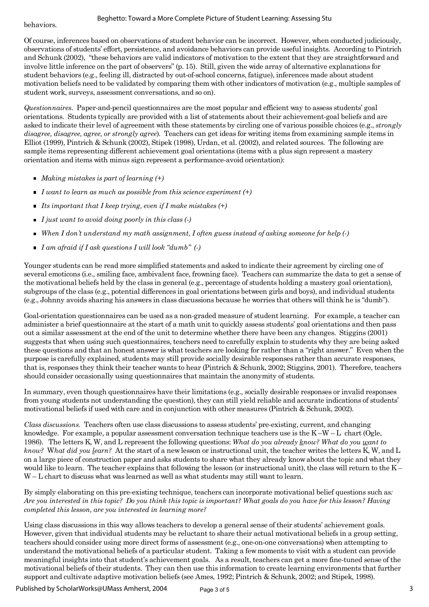behaviors.

Of course, inferences based on observations of student behavior can be incorrect. However, when conducted judiciously, observations of students' effort, persistence, and avoidance behaviors can provide useful insights. According to Pintrich and Schunk (2002), "these behaviors are valid indicators of motivation to the extent that they are straightforward and involve little inference on the part of observers" (p. 15). Still, given the wide array of alternative explanations for student behaviors (e.g., feeling ill, distracted by out-of-school concerns, fatigue), inferences made about student motivation beliefs need to be validated by comparing them with other indicators of motivation (e.g., multiple samples of student work, surveys, assessment conversations, and so on).

*Questionnaires.* Paper-and-pencil questionnaires are the most popular and efficient way to assess students' goal orientations. Students typically are provided with a list of statements about their achievement-goal beliefs and are asked to indicate their level of agreement with these statements by circling one of various possible choices (e.g., *strongly disagree, disagree, agree, or strongly agree*)*.* Teachers can get ideas for writing items from examining sample items in Elliot (1999), Pintrich & Schunk (2002), Stipek (1998), Urdan, et al. (2002), and related sources. The following are sample items representing different achievement goal orientations (items with a plus sign represent a mastery orientation and items with minus sign represent a performance-avoid orientation):

- *Making mistakes is part of learning (+)*
- *I want to learn as much as possible from this science experiment (+)*
- *Its important that I keep trying, even if I make mistakes (+)*
- *I just want to avoid doing poorly in this class (-)*
- *When I don't understand my math assignment, I often guess instead of asking someone for help (-)*
- *I am afraid if I ask questions I will look "dumb" (-)*

Younger students can be read more simplified statements and asked to indicate their agreement by circling one of several emoticons (i.e., smiling face, ambivalent face, frowning face). Teachers can summarize the data to get a sense of the motivational beliefs held by the class in general (e.g., percentage of students holding a mastery goal orientation), subgroups of the class (e.g., potential differences in goal orientations between girls and boys), and individual students (e.g., Johnny avoids sharing his answers in class discussions because he worries that others will think he is "dumb").

Goal-orientation questionnaires can be used as a non-graded measure of student learning. For example, a teacher can administer a brief questionnaire at the start of a math unit to quickly assess students' goal orientations and then pass out a similar assessment at the end of the unit to determine whether there have been any changes. Stiggins (2001) suggests that when using such questionnaires, teachers need to carefully explain to students why they are being asked these questions and that an honest answer is what teachers are looking for rather than a "right answer." Even when the purpose is carefully explained, students may still provide socially desirable responses rather than accurate responses, that is, responses they think their teacher wants to hear (Pintrich & Schunk, 2002; Stiggins, 2001). Therefore, teachers should consider occasionally using questionnaires that maintain the anonymity of students.

In summary, even though questionnaires have their limitations (e.g., socially desirable responses or invalid responses from young students not understanding the question), they can still yield reliable and accurate indications of students' motivational beliefs if used with care and in conjunction with other measures (Pintrich & Schunk, 2002).

*Class discussions.* Teachers often use class discussions to assess students' pre-existing, current, and changing knowledge. For example, a popular assessment conversation technique teachers use is the  $K-W-L$  chart (Ogle, 1986). The letters K, W, and L represent the following questions: *What do you already know? What do you want to know?* W*hat did you learn?* At the start of a new lesson or instructional unit, the teacher writes the letters K, W, and L on a large piece of construction paper and asks students to share what they already know about the topic and what they would like to learn. The teacher explains that following the lesson (or instructional unit), the class will return to the  $K-$ W – L chart to discuss what was learned as well as what students may still want to learn.

By simply elaborating on this pre-existing technique, teachers can incorporate motivational belief questions such as*: Are you interested in this topic? Do you think this topic is important? What goals do you have for this lesson? Having completed this lesson, are you interested in learning more?* 

Using class discussions in this way allows teachers to develop a general sense of their students' achievement goals. However, given that individual students may be reluctant to share their actual motivational beliefs in a group setting, teachers should consider using more direct forms of assessment (e.g., one-on-one conversations) when attempting to understand the motivational beliefs of a particular student. Taking a few moments to visit with a student can provide meaningful insights into that student's achievement goals. As a result, teachers can get a more fine-tuned sense of the motivational beliefs of their students. They can then use this information to create learning environments that further support and cultivate adaptive motivation beliefs (see Ames, 1992; Pintrich & Schunk, 2002; and Stipek, 1998).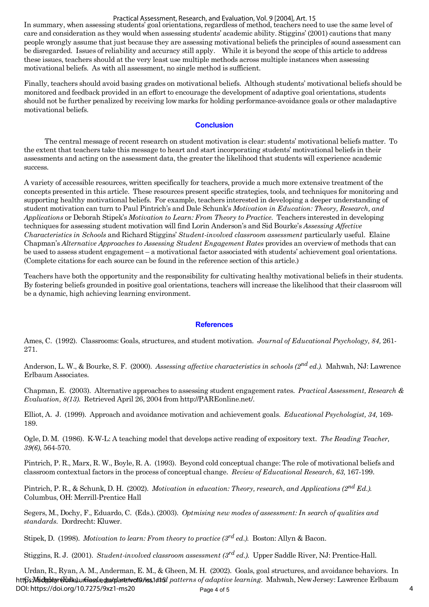#### Practical Assessment, Research, and Evaluation, Vol. 9 [2004], Art. 15

In summary, when assessing students' goal orientations, regardless of method, teachers need to use the same level of care and consideration as they would when assessing students' academic ability. Stiggins' (2001) cautions that many people wrongly assume that just because they are assessing motivational beliefs the principles of sound assessment can be disregarded. Issues of reliability and accuracy still apply. While it is beyond the scope of this article to address these issues, teachers should at the very least use multiple methods across multiple instances when assessing motivational beliefs. As with all assessment, no single method is sufficient.

Finally, teachers should avoid basing grades on motivational beliefs. Although students' motivational beliefs should be monitored and feedback provided in an effort to encourage the development of adaptive goal orientations, students should not be further penalized by receiving low marks for holding performance-avoidance goals or other maladaptive motivational beliefs.

#### **Conclusion**

 The central message of recent research on student motivation is clear: students' motivational beliefs matter. To the extent that teachers take this message to heart and start incorporating students' motivational beliefs in their assessments and acting on the assessment data, the greater the likelihood that students will experience academic success.

A variety of accessible resources, written specifically for teachers, provide a much more extensive treatment of the concepts presented in this article. These resources present specific strategies, tools, and techniques for monitoring and supporting healthy motivational beliefs. For example, teachers interested in developing a deeper understanding of student motivation can turn to Paul Pintrich's and Dale Schunk's *Motivation in Education: Theory, Research, and Applications* or Deborah Stipek's *Motivation to Learn: From Theory to Practice.* Teachers interested in developing techniques for assessing student motivation will find Lorin Anderson's and Sid Bourke's *Assessing Affective Characteristics in Schools* and Richard Stiggins' *Student-involved classroom assessment* particularly useful. Elaine Chapman's *Alternative Approaches to Assessing Student Engagement Rates* provides an overview of methods that can be used to assess student engagement – a motivational factor associated with students' achievement goal orientations. (Complete citations for each source can be found in the reference section of this article.)

Teachers have both the opportunity and the responsibility for cultivating healthy motivational beliefs in their students. By fostering beliefs grounded in positive goal orientations, teachers will increase the likelihood that their classroom will be a dynamic, high achieving learning environment.

#### **References**

Ames, C. (1992). Classrooms: Goals, structures, and student motivation. *Journal of Educational Psychology, 84,* 261- 271.

Anderson, L. W., & Bourke, S. F. (2000). *Assessing affective characteristics in schools (2nd ed.).* Mahwah, NJ: Lawrence Erlbaum Associates.

Chapman, E. (2003). Alternative approaches to assessing student engagement rates. *Practical Assessment, Research & Evaluation, 8(13).* Retrieved April 26, 2004 from http://PAREonline.net/.

Elliot, A. J. (1999). Approach and avoidance motivation and achievement goals. *Educational Psychologist, 34,* 169- 189.

Ogle, D. M. (1986). K-W-L: A teaching model that develops active reading of expository text. *The Reading Teacher, 39(6),* 564-570.

Pintrich, P. R., Marx, R. W., Boyle, R. A. (1993). Beyond cold conceptual change: The role of motivational beliefs and classroom contextual factors in the process of conceptual change. *Review of Educational Research, 63,* 167-199.

Pintrich, P. R., & Schunk, D. H. (2002). *Motivation in education: Theory, research, and Applications (2nd Ed.).* Columbus, OH: Merrill-Prentice Hall

Segers, M., Dochy, F., Eduardo, C. (Eds.). (2003). *Optmising new modes of assessment: In search of qualities and standards.* Dordrecht: Kluwer.

Stipek, D. (1998). *Motivation to learn: From theory to practice (3rd ed.).* Boston: Allyn & Bacon.

Stiggins, R. J. (2001). *Student-involved classroom assessment (3rd ed.).* Upper Saddle River, NJ: Prentice-Hall.

Urdan, R., Ryan, A. M., Anderman, E. M., & Gheen, M. H. (2002). Goals, goal structures, and avoidance behaviors. In httf<mark>s:Msdgdtgr(fbdks).umGesd.e;dta/plarte/wcl0/iss,1415</mark> patterns of adaptive learning. Mahwah, New Jersey: Lawrence Erlbaum Page 4 of 5  $\overline{4}$ DOI: https://doi.org/10.7275/9xz1-ms20